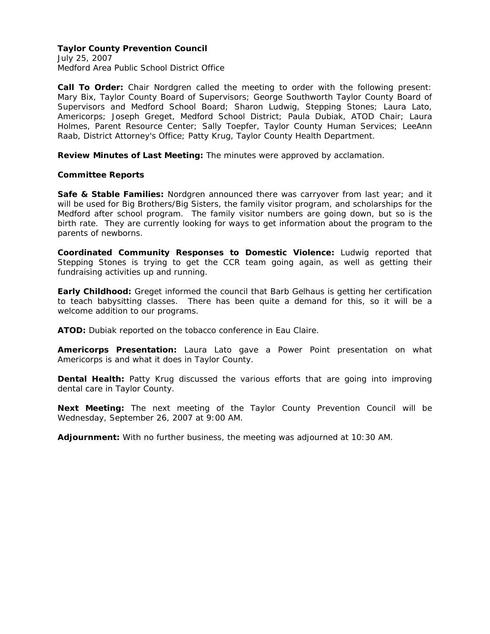### **Taylor County Prevention Council**

July 25, 2007 Medford Area Public School District Office

**Call To Order:** Chair Nordgren called the meeting to order with the following present: Mary Bix, Taylor County Board of Supervisors; George Southworth Taylor County Board of Supervisors and Medford School Board; Sharon Ludwig, Stepping Stones; Laura Lato, Americorps; Joseph Greget, Medford School District; Paula Dubiak, ATOD Chair; Laura Holmes, Parent Resource Center; Sally Toepfer, Taylor County Human Services; LeeAnn Raab, District Attorney's Office; Patty Krug, Taylor County Health Department.

**Review Minutes of Last Meeting:** The minutes were approved by acclamation.

# **Committee Reports**

**Safe & Stable Families:** Nordgren announced there was carryover from last year; and it will be used for Big Brothers/Big Sisters, the family visitor program, and scholarships for the Medford after school program. The family visitor numbers are going down, but so is the birth rate. They are currently looking for ways to get information about the program to the parents of newborns.

**Coordinated Community Responses to Domestic Violence:** Ludwig reported that Stepping Stones is trying to get the CCR team going again, as well as getting their fundraising activities up and running.

**Early Childhood:** Greget informed the council that Barb Gelhaus is getting her certification to teach babysitting classes. There has been quite a demand for this, so it will be a welcome addition to our programs.

**ATOD:** Dubiak reported on the tobacco conference in Eau Claire.

**Americorps Presentation:** Laura Lato gave a Power Point presentation on what Americorps is and what it does in Taylor County.

**Dental Health:** Patty Krug discussed the various efforts that are going into improving dental care in Taylor County.

**Next Meeting:** The next meeting of the Taylor County Prevention Council will be Wednesday, September 26, 2007 at 9:00 AM.

**Adjournment:** With no further business, the meeting was adjourned at 10:30 AM.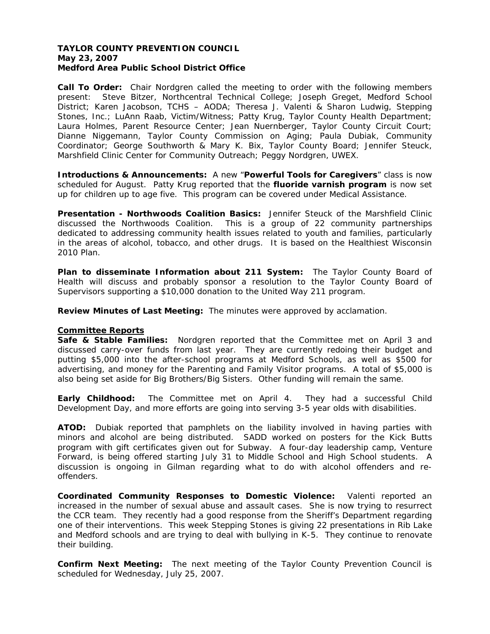### **TAYLOR COUNTY PREVENTION COUNCIL May 23, 2007 Medford Area Public School District Office**

**Call To Order:** Chair Nordgren called the meeting to order with the following members present: Steve Bitzer, Northcentral Technical College; Joseph Greget, Medford School District; Karen Jacobson, TCHS – AODA; Theresa J. Valenti & Sharon Ludwig, Stepping Stones, Inc.; LuAnn Raab, Victim/Witness; Patty Krug, Taylor County Health Department; Laura Holmes, Parent Resource Center; Jean Nuernberger, Taylor County Circuit Court; Dianne Niggemann, Taylor County Commission on Aging; Paula Dubiak, Community Coordinator; George Southworth & Mary K. Bix, Taylor County Board; Jennifer Steuck, Marshfield Clinic Center for Community Outreach; Peggy Nordgren, UWEX.

**Introductions & Announcements:** A new "**Powerful Tools for Caregivers**" class is now scheduled for August. Patty Krug reported that the **fluoride varnish program** is now set up for children up to age five. This program can be covered under Medical Assistance.

**Presentation - Northwoods Coalition Basics:** Jennifer Steuck of the Marshfield Clinic discussed the Northwoods Coalition. This is a group of 22 community partnerships dedicated to addressing community health issues related to youth and families, particularly in the areas of alcohol, tobacco, and other drugs. It is based on the Healthiest Wisconsin 2010 Plan.

**Plan to disseminate Information about 211 System:** The Taylor County Board of Health will discuss and probably sponsor a resolution to the Taylor County Board of Supervisors supporting a \$10,000 donation to the United Way 211 program.

**Review Minutes of Last Meeting:** The minutes were approved by acclamation.

# **Committee Reports**

**Safe & Stable Families:** Nordgren reported that the Committee met on April 3 and discussed carry-over funds from last year. They are currently redoing their budget and putting \$5,000 into the after-school programs at Medford Schools, as well as \$500 for advertising, and money for the Parenting and Family Visitor programs. A total of \$5,000 is also being set aside for Big Brothers/Big Sisters. Other funding will remain the same.

**Early Childhood:** The Committee met on April 4. They had a successful Child Development Day, and more efforts are going into serving 3-5 year olds with disabilities.

**ATOD:** Dubiak reported that pamphlets on the liability involved in having parties with minors and alcohol are being distributed. SADD worked on posters for the Kick Butts program with gift certificates given out for Subway. A four-day leadership camp, Venture Forward, is being offered starting July 31 to Middle School and High School students. A discussion is ongoing in Gilman regarding what to do with alcohol offenders and reoffenders.

**Coordinated Community Responses to Domestic Violence:** Valenti reported an increased in the number of sexual abuse and assault cases. She is now trying to resurrect the CCR team. They recently had a good response from the Sheriff's Department regarding one of their interventions. This week Stepping Stones is giving 22 presentations in Rib Lake and Medford schools and are trying to deal with bullying in K-5. They continue to renovate their building.

**Confirm Next Meeting:** The next meeting of the Taylor County Prevention Council is scheduled for Wednesday, July 25, 2007.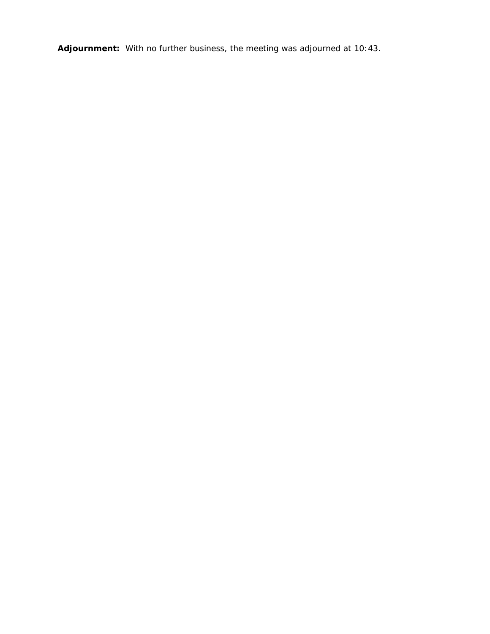**Adjournment:** With no further business, the meeting was adjourned at 10:43.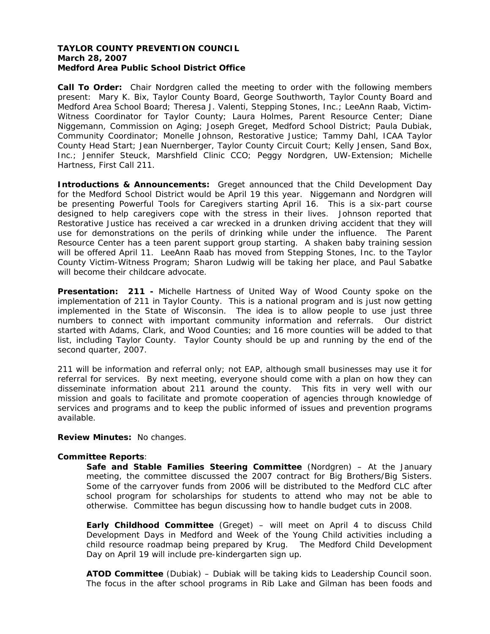### **TAYLOR COUNTY PREVENTION COUNCIL March 28, 2007 Medford Area Public School District Office**

**Call To Order:** Chair Nordgren called the meeting to order with the following members present: Mary K. Bix, Taylor County Board, George Southworth, Taylor County Board and Medford Area School Board; Theresa J. Valenti, Stepping Stones, Inc.; LeeAnn Raab, Victim-Witness Coordinator for Taylor County; Laura Holmes, Parent Resource Center; Diane Niggemann, Commission on Aging; Joseph Greget, Medford School District; Paula Dubiak, Community Coordinator; Monelle Johnson, Restorative Justice; Tammy Dahl, ICAA Taylor County Head Start; Jean Nuernberger, Taylor County Circuit Court; Kelly Jensen, Sand Box, Inc.; Jennifer Steuck, Marshfield Clinic CCO; Peggy Nordgren, UW-Extension; Michelle Hartness, First Call 211.

**Introductions & Announcements:** Greget announced that the Child Development Day for the Medford School District would be April 19 this year. Niggemann and Nordgren will be presenting Powerful Tools for Caregivers starting April 16. This is a six-part course designed to help caregivers cope with the stress in their lives. Johnson reported that Restorative Justice has received a car wrecked in a drunken driving accident that they will use for demonstrations on the perils of drinking while under the influence. The Parent Resource Center has a teen parent support group starting. A shaken baby training session will be offered April 11. LeeAnn Raab has moved from Stepping Stones, Inc. to the Taylor County Victim-Witness Program; Sharon Ludwig will be taking her place, and Paul Sabatke will become their childcare advocate.

**Presentation: 211 -** Michelle Hartness of United Way of Wood County spoke on the implementation of 211 in Taylor County. This is a national program and is just now getting implemented in the State of Wisconsin. The idea is to allow people to use just three numbers to connect with important community information and referrals. Our district started with Adams, Clark, and Wood Counties; and 16 more counties will be added to that list, including Taylor County. Taylor County should be up and running by the end of the second quarter, 2007.

211 will be information and referral only; not EAP, although small businesses may use it for referral for services. By next meeting, everyone should come with a plan on how they can disseminate information about 211 around the county. This fits in very well with our mission and goals to facilitate and promote cooperation of agencies through knowledge of services and programs and to keep the public informed of issues and prevention programs available.

**Review Minutes:** No changes.

### **Committee Reports**:

**Safe and Stable Families Steering Committee** (Nordgren) – At the January meeting, the committee discussed the 2007 contract for Big Brothers/Big Sisters. Some of the carryover funds from 2006 will be distributed to the Medford CLC after school program for scholarships for students to attend who may not be able to otherwise. Committee has begun discussing how to handle budget cuts in 2008.

**Early Childhood Committee** (Greget) – will meet on April 4 to discuss Child Development Days in Medford and Week of the Young Child activities including a child resource roadmap being prepared by Krug. The Medford Child Development Day on April 19 will include pre-kindergarten sign up.

**ATOD Committee** (Dubiak) – Dubiak will be taking kids to Leadership Council soon. The focus in the after school programs in Rib Lake and Gilman has been foods and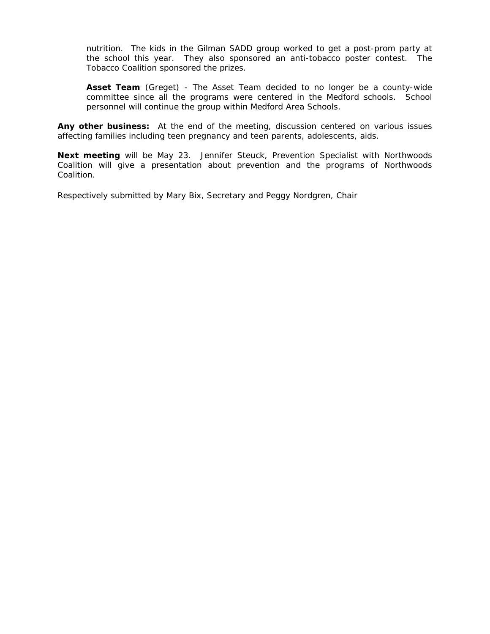nutrition. The kids in the Gilman SADD group worked to get a post-prom party at the school this year. They also sponsored an anti-tobacco poster contest. The Tobacco Coalition sponsored the prizes.

**Asset Team** (Greget) - The Asset Team decided to no longer be a county-wide committee since all the programs were centered in the Medford schools. School personnel will continue the group within Medford Area Schools.

**Any other business:** At the end of the meeting, discussion centered on various issues affecting families including teen pregnancy and teen parents, adolescents, aids.

**Next meeting** will be May 23. Jennifer Steuck, Prevention Specialist with Northwoods Coalition will give a presentation about prevention and the programs of Northwoods Coalition.

Respectively submitted by Mary Bix, Secretary and Peggy Nordgren, Chair